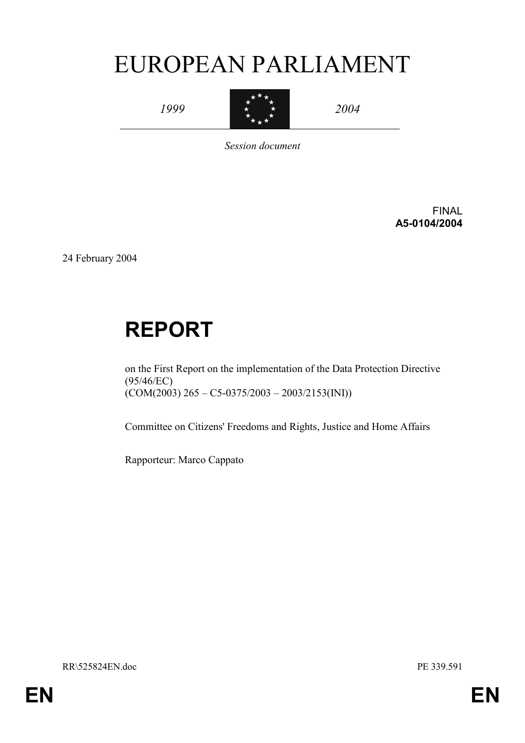# EUROPEAN PARLIAMENT

*1999* 



*2004* 

*Session document* 

FINAL **A5-0104/2004** 

24 February 2004

# **REPORT**

on the First Report on the implementation of the Data Protection Directive (95/46/EC)  $(COM(2003) 265 - C5 - 0375/2003 - 2003/2153(NI))$ 

Committee on Citizens' Freedoms and Rights, Justice and Home Affairs

Rapporteur: Marco Cappato

RR\525824EN.doc PE 339.591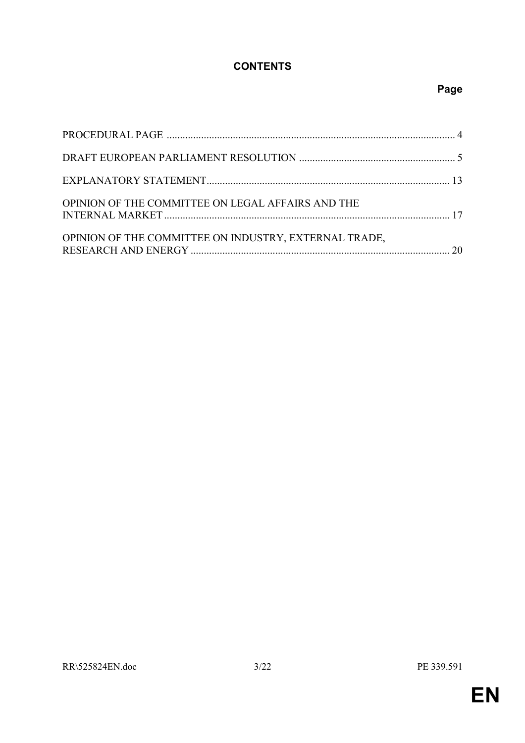# **CONTENTS**

# **Page**

| OPINION OF THE COMMITTEE ON LEGAL AFFAIRS AND THE     |  |
|-------------------------------------------------------|--|
| OPINION OF THE COMMITTEE ON INDUSTRY, EXTERNAL TRADE, |  |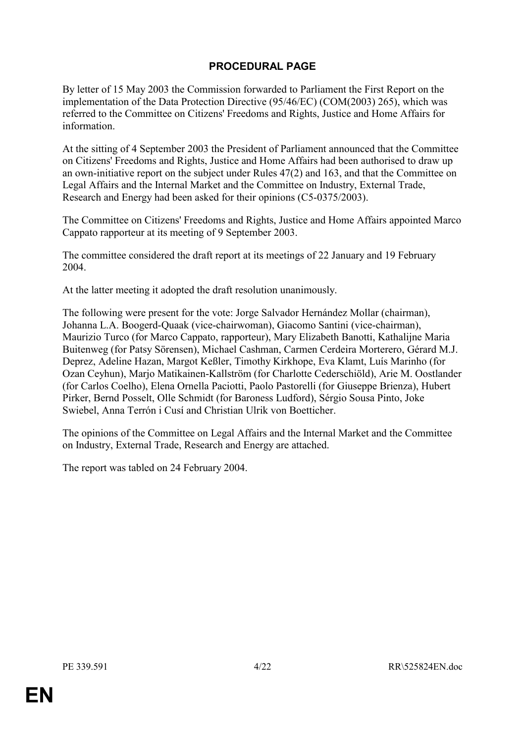# **PROCEDURAL PAGE**

By letter of 15 May 2003 the Commission forwarded to Parliament the First Report on the implementation of the Data Protection Directive (95/46/EC) (COM(2003) 265), which was referred to the Committee on Citizens' Freedoms and Rights, Justice and Home Affairs for information.

At the sitting of 4 September 2003 the President of Parliament announced that the Committee on Citizens' Freedoms and Rights, Justice and Home Affairs had been authorised to draw up an own-initiative report on the subject under Rules 47(2) and 163, and that the Committee on Legal Affairs and the Internal Market and the Committee on Industry, External Trade, Research and Energy had been asked for their opinions (C5-0375/2003).

The Committee on Citizens' Freedoms and Rights, Justice and Home Affairs appointed Marco Cappato rapporteur at its meeting of 9 September 2003.

The committee considered the draft report at its meetings of 22 January and 19 February 2004.

At the latter meeting it adopted the draft resolution unanimously.

The following were present for the vote: Jorge Salvador Hernández Mollar (chairman), Johanna L.A. Boogerd-Quaak (vice-chairwoman), Giacomo Santini (vice-chairman), Maurizio Turco (for Marco Cappato, rapporteur), Mary Elizabeth Banotti, Kathalijne Maria Buitenweg (for Patsy Sörensen), Michael Cashman, Carmen Cerdeira Morterero, Gérard M.J. Deprez, Adeline Hazan, Margot Keßler, Timothy Kirkhope, Eva Klamt, Luís Marinho (for Ozan Ceyhun), Marjo Matikainen-Kallström (for Charlotte Cederschiöld), Arie M. Oostlander (for Carlos Coelho), Elena Ornella Paciotti, Paolo Pastorelli (for Giuseppe Brienza), Hubert Pirker, Bernd Posselt, Olle Schmidt (for Baroness Ludford), Sérgio Sousa Pinto, Joke Swiebel, Anna Terrón i Cusí and Christian Ulrik von Boetticher.

The opinions of the Committee on Legal Affairs and the Internal Market and the Committee on Industry, External Trade, Research and Energy are attached.

The report was tabled on 24 February 2004.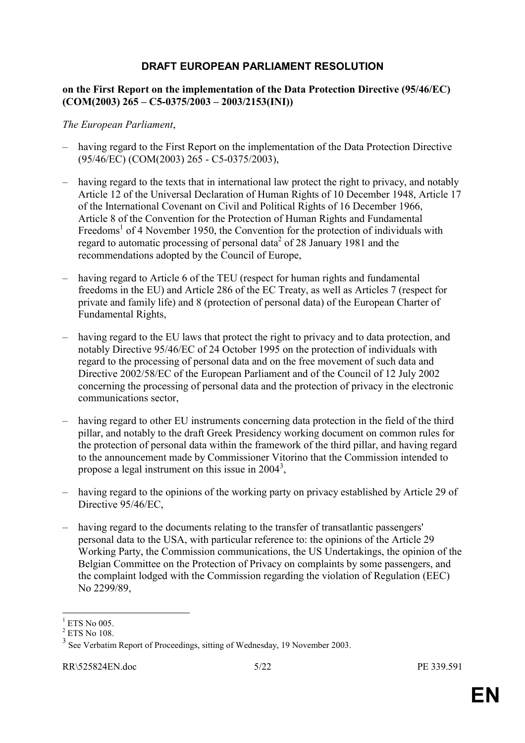# **DRAFT EUROPEAN PARLIAMENT RESOLUTION**

#### **on the First Report on the implementation of the Data Protection Directive (95/46/EC) (COM(2003) 265 – C5-0375/2003 – 2003/2153(INI))**

#### *The European Parliament*,

- having regard to the First Report on the implementation of the Data Protection Directive (95/46/EC) (COM(2003) 265 - C5-0375/2003),
- having regard to the texts that in international law protect the right to privacy, and notably Article 12 of the Universal Declaration of Human Rights of 10 December 1948, Article 17 of the International Covenant on Civil and Political Rights of 16 December 1966, Article 8 of the Convention for the Protection of Human Rights and Fundamental Freedoms<sup>[1](#page-4-0)</sup> of 4 November 1950, the Convention for the protection of individuals with regard to automatic processing of personal data<sup>[2](#page-4-1)</sup> of 28 January 1981 and the recommendations adopted by the Council of Europe,
- having regard to Article 6 of the TEU (respect for human rights and fundamental freedoms in the EU) and Article 286 of the EC Treaty, as well as Articles 7 (respect for private and family life) and 8 (protection of personal data) of the European Charter of Fundamental Rights,
- having regard to the EU laws that protect the right to privacy and to data protection, and notably Directive 95/46/EC of 24 October 1995 on the protection of individuals with regard to the processing of personal data and on the free movement of such data and Directive 2002/58/EC of the European Parliament and of the Council of 12 July 2002 concerning the processing of personal data and the protection of privacy in the electronic communications sector,
- having regard to other EU instruments concerning data protection in the field of the third pillar, and notably to the draft Greek Presidency working document on common rules for the protection of personal data within the framework of the third pillar, and having regard to the announcement made by Commissioner Vitorino that the Commission intended to propose a legal instrument on this issue in  $2004^3$  $2004^3$ ,
- having regard to the opinions of the working party on privacy established by Article 29 of Directive 95/46/EC,
- having regard to the documents relating to the transfer of transatlantic passengers' personal data to the USA, with particular reference to: the opinions of the Article 29 Working Party, the Commission communications, the US Undertakings, the opinion of the Belgian Committee on the Protection of Privacy on complaints by some passengers, and the complaint lodged with the Commission regarding the violation of Regulation (EEC) No 2299/89,

 $\overline{a}$ 

<span id="page-4-0"></span><sup>1</sup>  $^{1}$  ETS No 005.<br><sup>2</sup> ETS No 108.

<span id="page-4-1"></span>

<span id="page-4-2"></span> $3$  See Verbatim Report of Proceedings, sitting of Wednesday, 19 November 2003.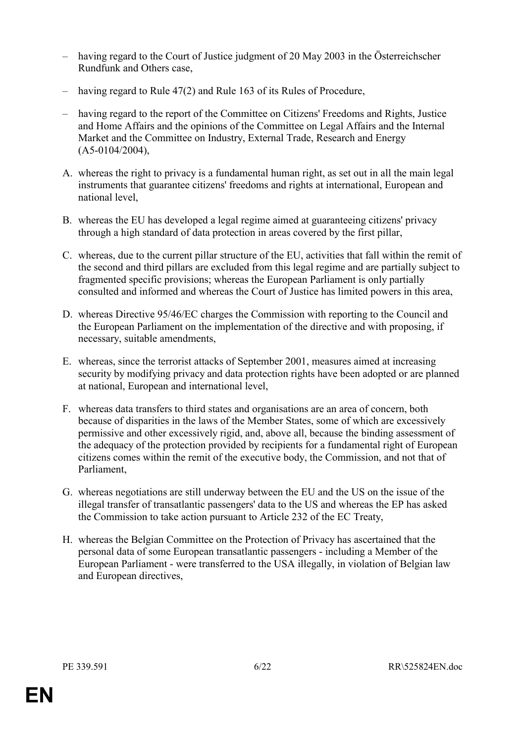- having regard to the Court of Justice judgment of 20 May 2003 in the Österreichscher Rundfunk and Others case,
- having regard to Rule 47(2) and Rule 163 of its Rules of Procedure,
- having regard to the report of the Committee on Citizens' Freedoms and Rights, Justice and Home Affairs and the opinions of the Committee on Legal Affairs and the Internal Market and the Committee on Industry, External Trade, Research and Energy (A5-0104/2004),
- A. whereas the right to privacy is a fundamental human right, as set out in all the main legal instruments that guarantee citizens' freedoms and rights at international, European and national level,
- B. whereas the EU has developed a legal regime aimed at guaranteeing citizens' privacy through a high standard of data protection in areas covered by the first pillar,
- C. whereas, due to the current pillar structure of the EU, activities that fall within the remit of the second and third pillars are excluded from this legal regime and are partially subject to fragmented specific provisions; whereas the European Parliament is only partially consulted and informed and whereas the Court of Justice has limited powers in this area,
- D. whereas Directive 95/46/EC charges the Commission with reporting to the Council and the European Parliament on the implementation of the directive and with proposing, if necessary, suitable amendments,
- E. whereas, since the terrorist attacks of September 2001, measures aimed at increasing security by modifying privacy and data protection rights have been adopted or are planned at national, European and international level,
- F. whereas data transfers to third states and organisations are an area of concern, both because of disparities in the laws of the Member States, some of which are excessively permissive and other excessively rigid, and, above all, because the binding assessment of the adequacy of the protection provided by recipients for a fundamental right of European citizens comes within the remit of the executive body, the Commission, and not that of Parliament,
- G. whereas negotiations are still underway between the EU and the US on the issue of the illegal transfer of transatlantic passengers' data to the US and whereas the EP has asked the Commission to take action pursuant to Article 232 of the EC Treaty,
- H. whereas the Belgian Committee on the Protection of Privacy has ascertained that the personal data of some European transatlantic passengers - including a Member of the European Parliament - were transferred to the USA illegally, in violation of Belgian law and European directives,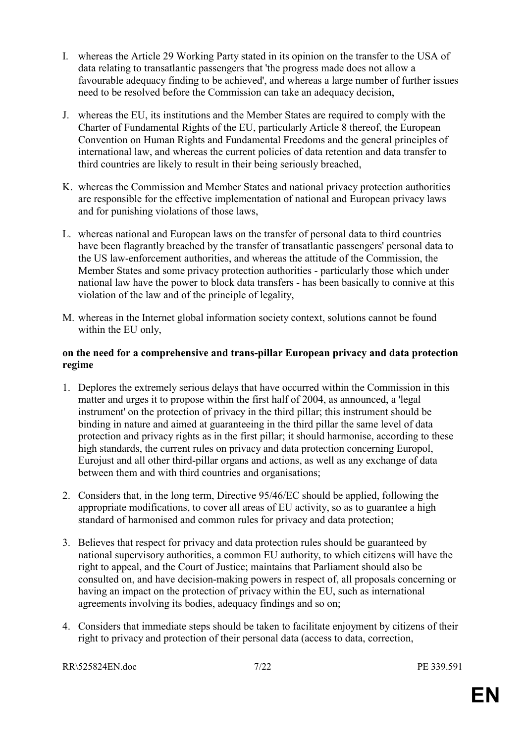- I. whereas the Article 29 Working Party stated in its opinion on the transfer to the USA of data relating to transatlantic passengers that 'the progress made does not allow a favourable adequacy finding to be achieved', and whereas a large number of further issues need to be resolved before the Commission can take an adequacy decision,
- J. whereas the EU, its institutions and the Member States are required to comply with the Charter of Fundamental Rights of the EU, particularly Article 8 thereof, the European Convention on Human Rights and Fundamental Freedoms and the general principles of international law, and whereas the current policies of data retention and data transfer to third countries are likely to result in their being seriously breached,
- K. whereas the Commission and Member States and national privacy protection authorities are responsible for the effective implementation of national and European privacy laws and for punishing violations of those laws,
- L. whereas national and European laws on the transfer of personal data to third countries have been flagrantly breached by the transfer of transatlantic passengers' personal data to the US law-enforcement authorities, and whereas the attitude of the Commission, the Member States and some privacy protection authorities - particularly those which under national law have the power to block data transfers - has been basically to connive at this violation of the law and of the principle of legality,
- M. whereas in the Internet global information society context, solutions cannot be found within the EU only,

#### **on the need for a comprehensive and trans-pillar European privacy and data protection regime**

- 1. Deplores the extremely serious delays that have occurred within the Commission in this matter and urges it to propose within the first half of 2004, as announced, a 'legal instrument' on the protection of privacy in the third pillar; this instrument should be binding in nature and aimed at guaranteeing in the third pillar the same level of data protection and privacy rights as in the first pillar; it should harmonise, according to these high standards, the current rules on privacy and data protection concerning Europol, Eurojust and all other third-pillar organs and actions, as well as any exchange of data between them and with third countries and organisations;
- 2. Considers that, in the long term, Directive 95/46/EC should be applied, following the appropriate modifications, to cover all areas of EU activity, so as to guarantee a high standard of harmonised and common rules for privacy and data protection;
- 3. Believes that respect for privacy and data protection rules should be guaranteed by national supervisory authorities, a common EU authority, to which citizens will have the right to appeal, and the Court of Justice; maintains that Parliament should also be consulted on, and have decision-making powers in respect of, all proposals concerning or having an impact on the protection of privacy within the EU, such as international agreements involving its bodies, adequacy findings and so on;
- 4. Considers that immediate steps should be taken to facilitate enjoyment by citizens of their right to privacy and protection of their personal data (access to data, correction,

RR\525824EN.doc 7/22 PE 339.591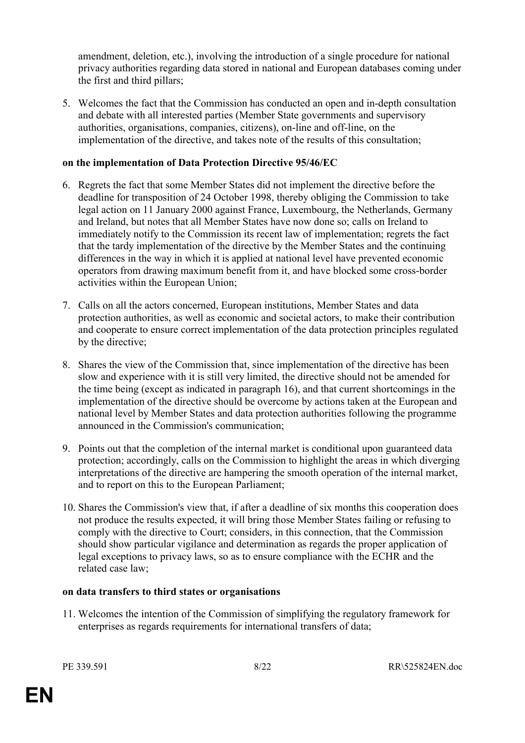amendment, deletion, etc.), involving the introduction of a single procedure for national privacy authorities regarding data stored in national and European databases coming under the first and third pillars;

5. Welcomes the fact that the Commission has conducted an open and in-depth consultation and debate with all interested parties (Member State governments and supervisory authorities, organisations, companies, citizens), on-line and off-line, on the implementation of the directive, and takes note of the results of this consultation;

### **on the implementation of Data Protection Directive 95/46/EC**

- 6. Regrets the fact that some Member States did not implement the directive before the deadline for transposition of 24 October 1998, thereby obliging the Commission to take legal action on 11 January 2000 against France, Luxembourg, the Netherlands, Germany and Ireland, but notes that all Member States have now done so; calls on Ireland to immediately notify to the Commission its recent law of implementation; regrets the fact that the tardy implementation of the directive by the Member States and the continuing differences in the way in which it is applied at national level have prevented economic operators from drawing maximum benefit from it, and have blocked some cross-border activities within the European Union;
- 7. Calls on all the actors concerned, European institutions, Member States and data protection authorities, as well as economic and societal actors, to make their contribution and cooperate to ensure correct implementation of the data protection principles regulated by the directive;
- 8. Shares the view of the Commission that, since implementation of the directive has been slow and experience with it is still very limited, the directive should not be amended for the time being (except as indicated in paragraph 16), and that current shortcomings in the implementation of the directive should be overcome by actions taken at the European and national level by Member States and data protection authorities following the programme announced in the Commission's communication;
- 9. Points out that the completion of the internal market is conditional upon guaranteed data protection; accordingly, calls on the Commission to highlight the areas in which diverging interpretations of the directive are hampering the smooth operation of the internal market, and to report on this to the European Parliament;
- 10. Shares the Commission's view that, if after a deadline of six months this cooperation does not produce the results expected, it will bring those Member States failing or refusing to comply with the directive to Court; considers, in this connection, that the Commission should show particular vigilance and determination as regards the proper application of legal exceptions to privacy laws, so as to ensure compliance with the ECHR and the related case law;

#### **on data transfers to third states or organisations**

11. Welcomes the intention of the Commission of simplifying the regulatory framework for enterprises as regards requirements for international transfers of data;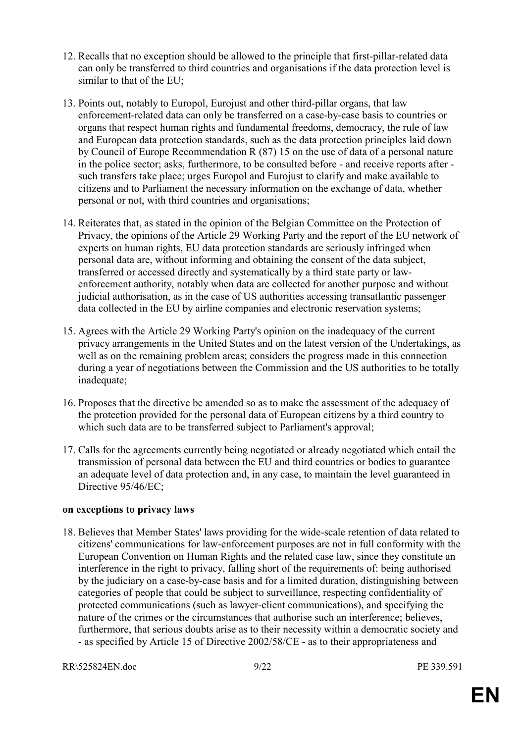- 12. Recalls that no exception should be allowed to the principle that first-pillar-related data can only be transferred to third countries and organisations if the data protection level is similar to that of the EU;
- 13. Points out, notably to Europol, Eurojust and other third-pillar organs, that law enforcement-related data can only be transferred on a case-by-case basis to countries or organs that respect human rights and fundamental freedoms, democracy, the rule of law and European data protection standards, such as the data protection principles laid down by Council of Europe Recommendation R (87) 15 on the use of data of a personal nature in the police sector; asks, furthermore, to be consulted before - and receive reports after such transfers take place; urges Europol and Eurojust to clarify and make available to citizens and to Parliament the necessary information on the exchange of data, whether personal or not, with third countries and organisations;
- 14. Reiterates that, as stated in the opinion of the Belgian Committee on the Protection of Privacy, the opinions of the Article 29 Working Party and the report of the EU network of experts on human rights, EU data protection standards are seriously infringed when personal data are, without informing and obtaining the consent of the data subject, transferred or accessed directly and systematically by a third state party or lawenforcement authority, notably when data are collected for another purpose and without judicial authorisation, as in the case of US authorities accessing transatlantic passenger data collected in the EU by airline companies and electronic reservation systems;
- 15. Agrees with the Article 29 Working Party's opinion on the inadequacy of the current privacy arrangements in the United States and on the latest version of the Undertakings, as well as on the remaining problem areas; considers the progress made in this connection during a year of negotiations between the Commission and the US authorities to be totally inadequate;
- 16. Proposes that the directive be amended so as to make the assessment of the adequacy of the protection provided for the personal data of European citizens by a third country to which such data are to be transferred subject to Parliament's approval;
- 17. Calls for the agreements currently being negotiated or already negotiated which entail the transmission of personal data between the EU and third countries or bodies to guarantee an adequate level of data protection and, in any case, to maintain the level guaranteed in Directive 95/46/EC;

#### **on exceptions to privacy laws**

18. Believes that Member States' laws providing for the wide-scale retention of data related to citizens' communications for law-enforcement purposes are not in full conformity with the European Convention on Human Rights and the related case law, since they constitute an interference in the right to privacy, falling short of the requirements of: being authorised by the judiciary on a case-by-case basis and for a limited duration, distinguishing between categories of people that could be subject to surveillance, respecting confidentiality of protected communications (such as lawyer-client communications), and specifying the nature of the crimes or the circumstances that authorise such an interference; believes, furthermore, that serious doubts arise as to their necessity within a democratic society and - as specified by Article 15 of Directive 2002/58/CE - as to their appropriateness and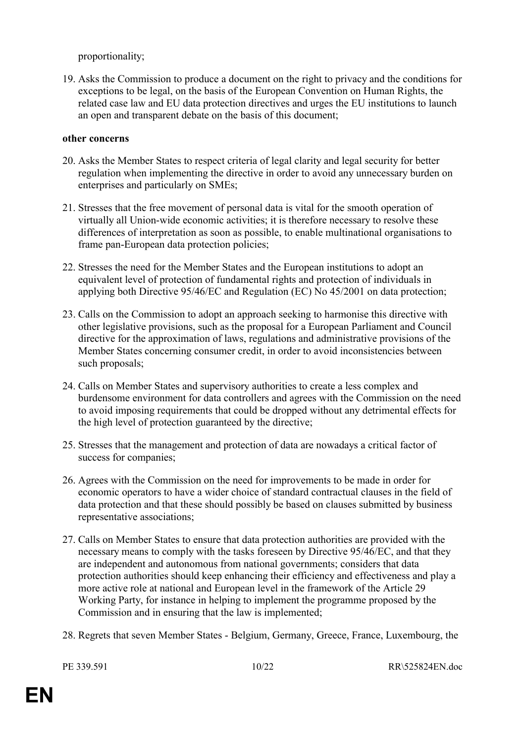proportionality;

19. Asks the Commission to produce a document on the right to privacy and the conditions for exceptions to be legal, on the basis of the European Convention on Human Rights, the related case law and EU data protection directives and urges the EU institutions to launch an open and transparent debate on the basis of this document;

### **other concerns**

- 20. Asks the Member States to respect criteria of legal clarity and legal security for better regulation when implementing the directive in order to avoid any unnecessary burden on enterprises and particularly on SMEs;
- 21. Stresses that the free movement of personal data is vital for the smooth operation of virtually all Union-wide economic activities; it is therefore necessary to resolve these differences of interpretation as soon as possible, to enable multinational organisations to frame pan-European data protection policies;
- 22. Stresses the need for the Member States and the European institutions to adopt an equivalent level of protection of fundamental rights and protection of individuals in applying both Directive 95/46/EC and Regulation (EC) No 45/2001 on data protection;
- 23. Calls on the Commission to adopt an approach seeking to harmonise this directive with other legislative provisions, such as the proposal for a European Parliament and Council directive for the approximation of laws, regulations and administrative provisions of the Member States concerning consumer credit, in order to avoid inconsistencies between such proposals;
- 24. Calls on Member States and supervisory authorities to create a less complex and burdensome environment for data controllers and agrees with the Commission on the need to avoid imposing requirements that could be dropped without any detrimental effects for the high level of protection guaranteed by the directive;
- 25. Stresses that the management and protection of data are nowadays a critical factor of success for companies;
- 26. Agrees with the Commission on the need for improvements to be made in order for economic operators to have a wider choice of standard contractual clauses in the field of data protection and that these should possibly be based on clauses submitted by business representative associations;
- 27. Calls on Member States to ensure that data protection authorities are provided with the necessary means to comply with the tasks foreseen by Directive 95/46/EC, and that they are independent and autonomous from national governments; considers that data protection authorities should keep enhancing their efficiency and effectiveness and play a more active role at national and European level in the framework of the Article 29 Working Party, for instance in helping to implement the programme proposed by the Commission and in ensuring that the law is implemented;
- 28. Regrets that seven Member States Belgium, Germany, Greece, France, Luxembourg, the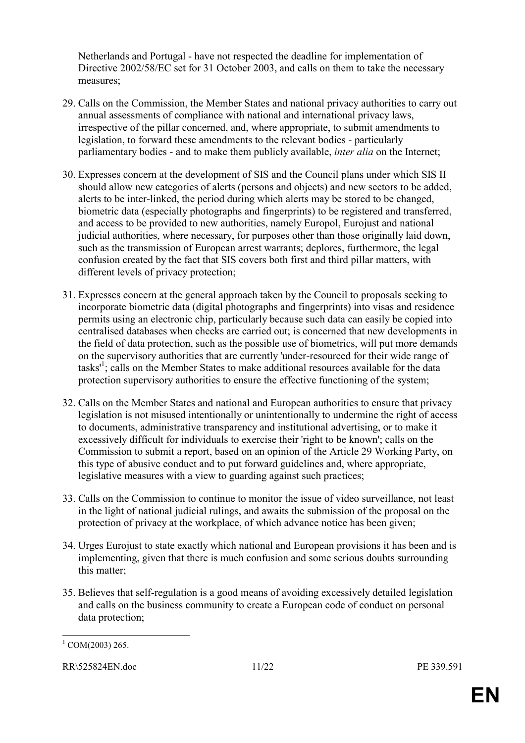Netherlands and Portugal - have not respected the deadline for implementation of Directive 2002/58/EC set for 31 October 2003, and calls on them to take the necessary measures;

- 29. Calls on the Commission, the Member States and national privacy authorities to carry out annual assessments of compliance with national and international privacy laws, irrespective of the pillar concerned, and, where appropriate, to submit amendments to legislation, to forward these amendments to the relevant bodies - particularly parliamentary bodies - and to make them publicly available, *inter alia* on the Internet;
- 30. Expresses concern at the development of SIS and the Council plans under which SIS II should allow new categories of alerts (persons and objects) and new sectors to be added, alerts to be inter-linked, the period during which alerts may be stored to be changed, biometric data (especially photographs and fingerprints) to be registered and transferred, and access to be provided to new authorities, namely Europol, Eurojust and national judicial authorities, where necessary, for purposes other than those originally laid down, such as the transmission of European arrest warrants; deplores, furthermore, the legal confusion created by the fact that SIS covers both first and third pillar matters, with different levels of privacy protection;
- 31. Expresses concern at the general approach taken by the Council to proposals seeking to incorporate biometric data (digital photographs and fingerprints) into visas and residence permits using an electronic chip, particularly because such data can easily be copied into centralised databases when checks are carried out; is concerned that new developments in the field of data protection, such as the possible use of biometrics, will put more demands on the supervisory authorities that are currently 'under-resourced for their wide range of tasks<sup>[1](#page-10-0)</sup>; calls on the Member States to make additional resources available for the data protection supervisory authorities to ensure the effective functioning of the system;
- 32. Calls on the Member States and national and European authorities to ensure that privacy legislation is not misused intentionally or unintentionally to undermine the right of access to documents, administrative transparency and institutional advertising, or to make it excessively difficult for individuals to exercise their 'right to be known'; calls on the Commission to submit a report, based on an opinion of the Article 29 Working Party, on this type of abusive conduct and to put forward guidelines and, where appropriate, legislative measures with a view to guarding against such practices;
- 33. Calls on the Commission to continue to monitor the issue of video surveillance, not least in the light of national judicial rulings, and awaits the submission of the proposal on the protection of privacy at the workplace, of which advance notice has been given;
- 34. Urges Eurojust to state exactly which national and European provisions it has been and is implementing, given that there is much confusion and some serious doubts surrounding this matter;
- 35. Believes that self-regulation is a good means of avoiding excessively detailed legislation and calls on the business community to create a European code of conduct on personal data protection;

<span id="page-10-0"></span> $\overline{a}$  $1$  COM(2003) 265.

RR\525824EN.doc 11/22 PE 339.591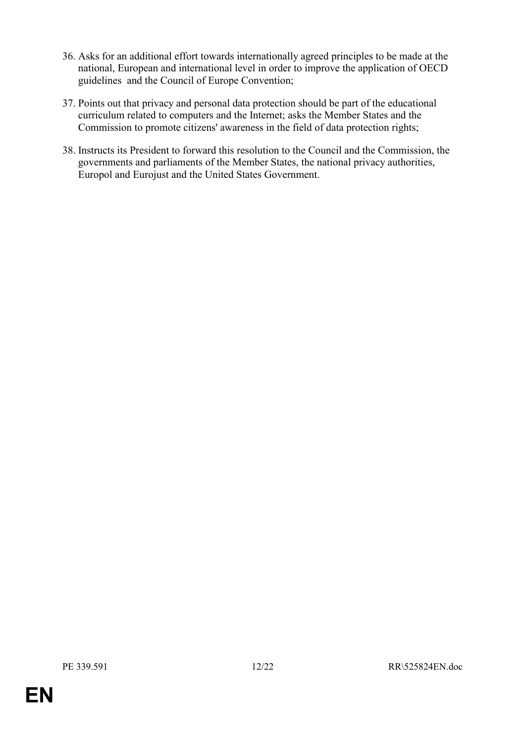- 36. Asks for an additional effort towards internationally agreed principles to be made at the national, European and international level in order to improve the application of OECD guidelines and the Council of Europe Convention;
- 37. Points out that privacy and personal data protection should be part of the educational curriculum related to computers and the Internet; asks the Member States and the Commission to promote citizens' awareness in the field of data protection rights;
- 38. Instructs its President to forward this resolution to the Council and the Commission, the governments and parliaments of the Member States, the national privacy authorities, Europol and Eurojust and the United States Government.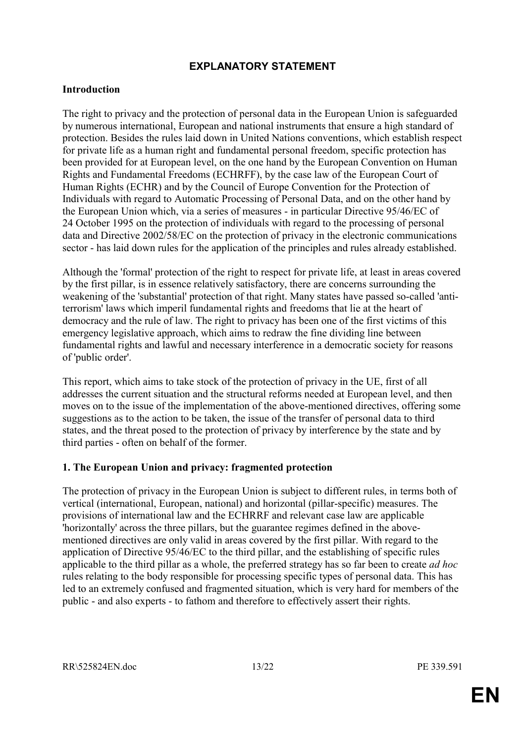# **EXPLANATORY STATEMENT**

#### **Introduction**

The right to privacy and the protection of personal data in the European Union is safeguarded by numerous international, European and national instruments that ensure a high standard of protection. Besides the rules laid down in United Nations conventions, which establish respect for private life as a human right and fundamental personal freedom, specific protection has been provided for at European level, on the one hand by the European Convention on Human Rights and Fundamental Freedoms (ECHRFF), by the case law of the European Court of Human Rights (ECHR) and by the Council of Europe Convention for the Protection of Individuals with regard to Automatic Processing of Personal Data, and on the other hand by the European Union which, via a series of measures - in particular Directive 95/46/EC of 24 October 1995 on the protection of individuals with regard to the processing of personal data and Directive 2002/58/EC on the protection of privacy in the electronic communications sector - has laid down rules for the application of the principles and rules already established.

Although the 'formal' protection of the right to respect for private life, at least in areas covered by the first pillar, is in essence relatively satisfactory, there are concerns surrounding the weakening of the 'substantial' protection of that right. Many states have passed so-called 'antiterrorism' laws which imperil fundamental rights and freedoms that lie at the heart of democracy and the rule of law. The right to privacy has been one of the first victims of this emergency legislative approach, which aims to redraw the fine dividing line between fundamental rights and lawful and necessary interference in a democratic society for reasons of 'public order'.

This report, which aims to take stock of the protection of privacy in the UE, first of all addresses the current situation and the structural reforms needed at European level, and then moves on to the issue of the implementation of the above-mentioned directives, offering some suggestions as to the action to be taken, the issue of the transfer of personal data to third states, and the threat posed to the protection of privacy by interference by the state and by third parties - often on behalf of the former.

#### **1. The European Union and privacy: fragmented protection**

The protection of privacy in the European Union is subject to different rules, in terms both of vertical (international, European, national) and horizontal (pillar-specific) measures. The provisions of international law and the ECHRRF and relevant case law are applicable 'horizontally' across the three pillars, but the guarantee regimes defined in the abovementioned directives are only valid in areas covered by the first pillar. With regard to the application of Directive 95/46/EC to the third pillar, and the establishing of specific rules applicable to the third pillar as a whole, the preferred strategy has so far been to create *ad hoc* rules relating to the body responsible for processing specific types of personal data. This has led to an extremely confused and fragmented situation, which is very hard for members of the public - and also experts - to fathom and therefore to effectively assert their rights.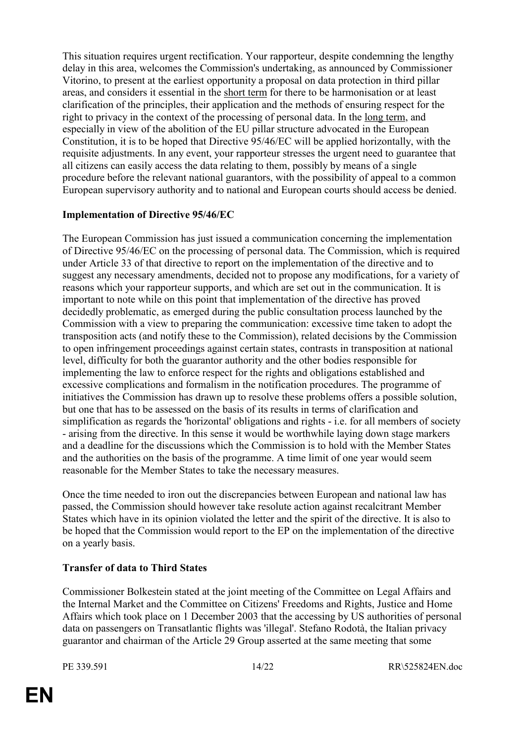This situation requires urgent rectification. Your rapporteur, despite condemning the lengthy delay in this area, welcomes the Commission's undertaking, as announced by Commissioner Vitorino, to present at the earliest opportunity a proposal on data protection in third pillar areas, and considers it essential in the short term for there to be harmonisation or at least clarification of the principles, their application and the methods of ensuring respect for the right to privacy in the context of the processing of personal data. In the long term, and especially in view of the abolition of the EU pillar structure advocated in the European Constitution, it is to be hoped that Directive 95/46/EC will be applied horizontally, with the requisite adjustments. In any event, your rapporteur stresses the urgent need to guarantee that all citizens can easily access the data relating to them, possibly by means of a single procedure before the relevant national guarantors, with the possibility of appeal to a common European supervisory authority and to national and European courts should access be denied.

### **Implementation of Directive 95/46/EC**

The European Commission has just issued a communication concerning the implementation of Directive 95/46/EC on the processing of personal data. The Commission, which is required under Article 33 of that directive to report on the implementation of the directive and to suggest any necessary amendments, decided not to propose any modifications, for a variety of reasons which your rapporteur supports, and which are set out in the communication. It is important to note while on this point that implementation of the directive has proved decidedly problematic, as emerged during the public consultation process launched by the Commission with a view to preparing the communication: excessive time taken to adopt the transposition acts (and notify these to the Commission), related decisions by the Commission to open infringement proceedings against certain states, contrasts in transposition at national level, difficulty for both the guarantor authority and the other bodies responsible for implementing the law to enforce respect for the rights and obligations established and excessive complications and formalism in the notification procedures. The programme of initiatives the Commission has drawn up to resolve these problems offers a possible solution, but one that has to be assessed on the basis of its results in terms of clarification and simplification as regards the 'horizontal' obligations and rights - i.e. for all members of society - arising from the directive. In this sense it would be worthwhile laying down stage markers and a deadline for the discussions which the Commission is to hold with the Member States and the authorities on the basis of the programme. A time limit of one year would seem reasonable for the Member States to take the necessary measures.

Once the time needed to iron out the discrepancies between European and national law has passed, the Commission should however take resolute action against recalcitrant Member States which have in its opinion violated the letter and the spirit of the directive. It is also to be hoped that the Commission would report to the EP on the implementation of the directive on a yearly basis.

# **Transfer of data to Third States**

Commissioner Bolkestein stated at the joint meeting of the Committee on Legal Affairs and the Internal Market and the Committee on Citizens' Freedoms and Rights, Justice and Home Affairs which took place on 1 December 2003 that the accessing by US authorities of personal data on passengers on Transatlantic flights was 'illegal'. Stefano Rodotà, the Italian privacy guarantor and chairman of the Article 29 Group asserted at the same meeting that some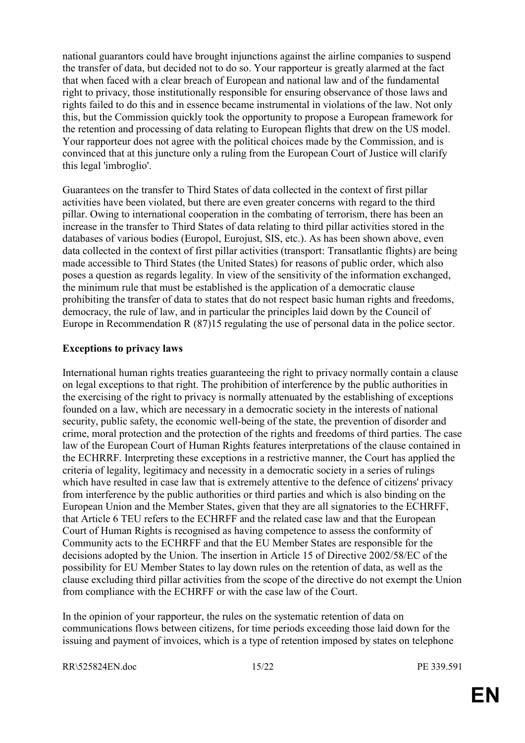national guarantors could have brought injunctions against the airline companies to suspend the transfer of data, but decided not to do so. Your rapporteur is greatly alarmed at the fact that when faced with a clear breach of European and national law and of the fundamental right to privacy, those institutionally responsible for ensuring observance of those laws and rights failed to do this and in essence became instrumental in violations of the law. Not only this, but the Commission quickly took the opportunity to propose a European framework for the retention and processing of data relating to European flights that drew on the US model. Your rapporteur does not agree with the political choices made by the Commission, and is convinced that at this juncture only a ruling from the European Court of Justice will clarify this legal 'imbroglio'.

Guarantees on the transfer to Third States of data collected in the context of first pillar activities have been violated, but there are even greater concerns with regard to the third pillar. Owing to international cooperation in the combating of terrorism, there has been an increase in the transfer to Third States of data relating to third pillar activities stored in the databases of various bodies (Europol, Eurojust, SIS, etc.). As has been shown above, even data collected in the context of first pillar activities (transport: Transatlantic flights) are being made accessible to Third States (the United States) for reasons of public order, which also poses a question as regards legality. In view of the sensitivity of the information exchanged, the minimum rule that must be established is the application of a democratic clause prohibiting the transfer of data to states that do not respect basic human rights and freedoms, democracy, the rule of law, and in particular the principles laid down by the Council of Europe in Recommendation R (87)15 regulating the use of personal data in the police sector.

### **Exceptions to privacy laws**

International human rights treaties guaranteeing the right to privacy normally contain a clause on legal exceptions to that right. The prohibition of interference by the public authorities in the exercising of the right to privacy is normally attenuated by the establishing of exceptions founded on a law, which are necessary in a democratic society in the interests of national security, public safety, the economic well-being of the state, the prevention of disorder and crime, moral protection and the protection of the rights and freedoms of third parties. The case law of the European Court of Human Rights features interpretations of the clause contained in the ECHRRF. Interpreting these exceptions in a restrictive manner, the Court has applied the criteria of legality, legitimacy and necessity in a democratic society in a series of rulings which have resulted in case law that is extremely attentive to the defence of citizens' privacy from interference by the public authorities or third parties and which is also binding on the European Union and the Member States, given that they are all signatories to the ECHRFF, that Article 6 TEU refers to the ECHRFF and the related case law and that the European Court of Human Rights is recognised as having competence to assess the conformity of Community acts to the ECHRFF and that the EU Member States are responsible for the decisions adopted by the Union. The insertion in Article 15 of Directive 2002/58/EC of the possibility for EU Member States to lay down rules on the retention of data, as well as the clause excluding third pillar activities from the scope of the directive do not exempt the Union from compliance with the ECHRFF or with the case law of the Court.

In the opinion of your rapporteur, the rules on the systematic retention of data on communications flows between citizens, for time periods exceeding those laid down for the issuing and payment of invoices, which is a type of retention imposed by states on telephone

RR\525824EN.doc 15/22 PE 339.591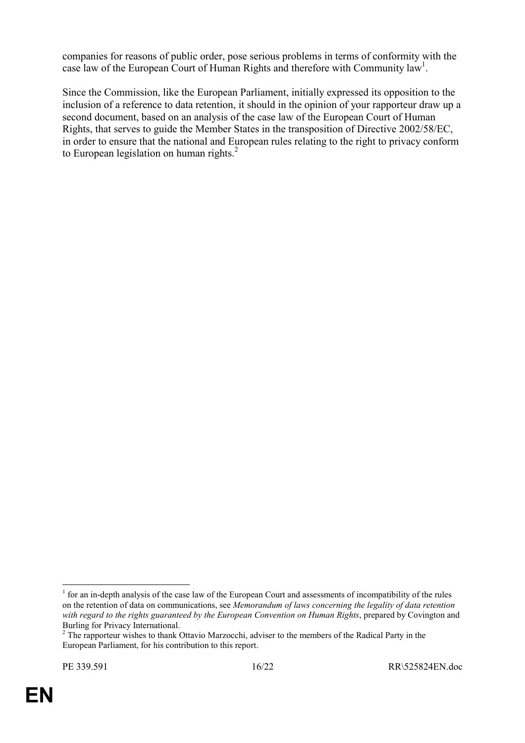companies for reasons of public order, pose serious problems in terms of conformity with the case law of the European Court of Human Rights and therefore with Community law<sup>1</sup>.

Since the Commission, like the European Parliament, initially expressed its opposition to the inclusion of a reference to data retention, it should in the opinion of your rapporteur draw up a second document, based on an analysis of the case law of the European Court of Human Rights, that serves to guide the Member States in the transposition of Directive 2002/58/EC, in order to ensure that the national and European rules relating to the right to privacy conform to European legislation on human rights.<sup>[2](#page-15-1)</sup>

<span id="page-15-0"></span> $\overline{a}$  $1$  for an in-depth analysis of the case law of the European Court and assessments of incompatibility of the rules on the retention of data on communications, see *Memorandum of laws concerning the legality of data retention with regard to the rights guaranteed by the European Convention on Human Rights*, prepared by Covington and Burling for Privacy International. 2

<span id="page-15-1"></span><sup>&</sup>lt;sup>2</sup> The rapporteur wishes to thank Ottavio Marzocchi, adviser to the members of the Radical Party in the European Parliament, for his contribution to this report.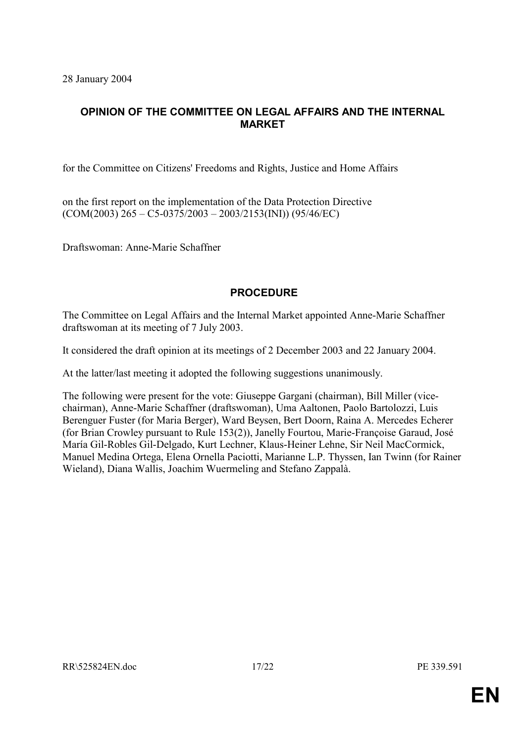28 January 2004

# **OPINION OF THE COMMITTEE ON LEGAL AFFAIRS AND THE INTERNAL MARKET**

for the Committee on Citizens' Freedoms and Rights, Justice and Home Affairs

on the first report on the implementation of the Data Protection Directive  $(COM(2003) 265 - C5 - 0375/2003 - 2003/2153(NI)) (95/46/EC)$ 

Draftswoman: Anne-Marie Schaffner

# **PROCEDURE**

The Committee on Legal Affairs and the Internal Market appointed Anne-Marie Schaffner draftswoman at its meeting of 7 July 2003.

It considered the draft opinion at its meetings of 2 December 2003 and 22 January 2004.

At the latter/last meeting it adopted the following suggestions unanimously.

The following were present for the vote: Giuseppe Gargani (chairman), Bill Miller (vicechairman), Anne-Marie Schaffner (draftswoman), Uma Aaltonen, Paolo Bartolozzi, Luis Berenguer Fuster (for Maria Berger), Ward Beysen, Bert Doorn, Raina A. Mercedes Echerer (for Brian Crowley pursuant to Rule 153(2)), Janelly Fourtou, Marie-Françoise Garaud, José María Gil-Robles Gil-Delgado, Kurt Lechner, Klaus-Heiner Lehne, Sir Neil MacCormick, Manuel Medina Ortega, Elena Ornella Paciotti, Marianne L.P. Thyssen, Ian Twinn (for Rainer Wieland), Diana Wallis, Joachim Wuermeling and Stefano Zappalà.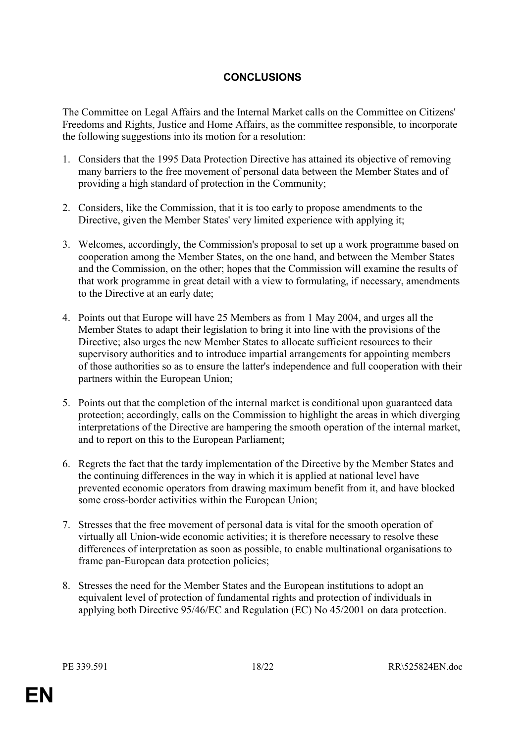# **CONCLUSIONS**

The Committee on Legal Affairs and the Internal Market calls on the Committee on Citizens' Freedoms and Rights, Justice and Home Affairs, as the committee responsible, to incorporate the following suggestions into its motion for a resolution:

- 1. Considers that the 1995 Data Protection Directive has attained its objective of removing many barriers to the free movement of personal data between the Member States and of providing a high standard of protection in the Community;
- 2. Considers, like the Commission, that it is too early to propose amendments to the Directive, given the Member States' very limited experience with applying it;
- 3. Welcomes, accordingly, the Commission's proposal to set up a work programme based on cooperation among the Member States, on the one hand, and between the Member States and the Commission, on the other; hopes that the Commission will examine the results of that work programme in great detail with a view to formulating, if necessary, amendments to the Directive at an early date;
- 4. Points out that Europe will have 25 Members as from 1 May 2004, and urges all the Member States to adapt their legislation to bring it into line with the provisions of the Directive; also urges the new Member States to allocate sufficient resources to their supervisory authorities and to introduce impartial arrangements for appointing members of those authorities so as to ensure the latter's independence and full cooperation with their partners within the European Union;
- 5. Points out that the completion of the internal market is conditional upon guaranteed data protection; accordingly, calls on the Commission to highlight the areas in which diverging interpretations of the Directive are hampering the smooth operation of the internal market, and to report on this to the European Parliament;
- 6. Regrets the fact that the tardy implementation of the Directive by the Member States and the continuing differences in the way in which it is applied at national level have prevented economic operators from drawing maximum benefit from it, and have blocked some cross-border activities within the European Union;
- 7. Stresses that the free movement of personal data is vital for the smooth operation of virtually all Union-wide economic activities; it is therefore necessary to resolve these differences of interpretation as soon as possible, to enable multinational organisations to frame pan-European data protection policies;
- 8. Stresses the need for the Member States and the European institutions to adopt an equivalent level of protection of fundamental rights and protection of individuals in applying both Directive 95/46/EC and Regulation (EC) No 45/2001 on data protection.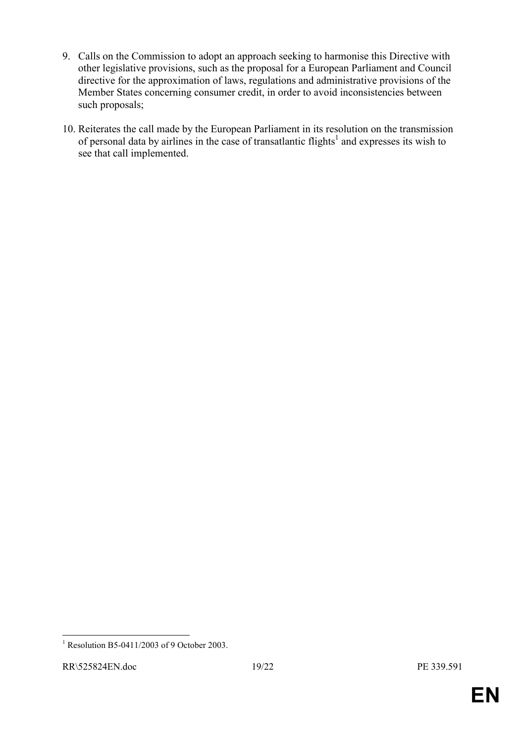- 9. Calls on the Commission to adopt an approach seeking to harmonise this Directive with other legislative provisions, such as the proposal for a European Parliament and Council directive for the approximation of laws, regulations and administrative provisions of the Member States concerning consumer credit, in order to avoid inconsistencies between such proposals;
- 10. Reiterates the call made by the European Parliament in its resolution on the transmission of personal data by airlines in the case of transatlantic flights<sup>[1](#page-18-0)</sup> and expresses its wish to see that call implemented.

 $\overline{a}$ 

<span id="page-18-0"></span><sup>1</sup> Resolution B5-0411/2003 of 9 October 2003.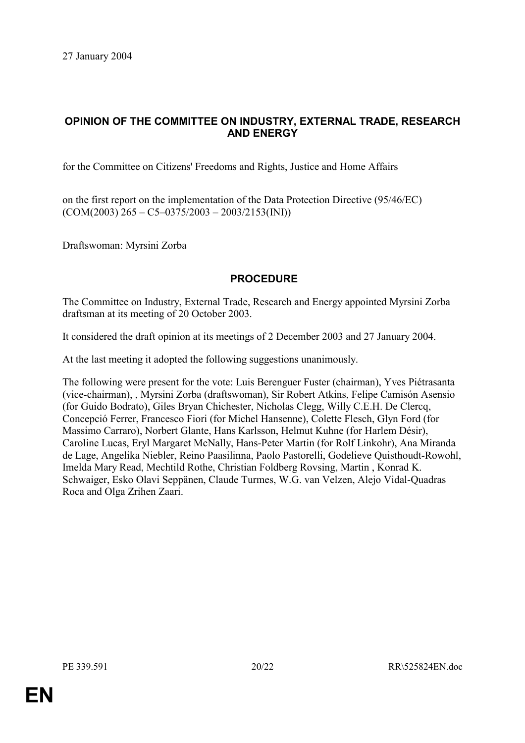# **OPINION OF THE COMMITTEE ON INDUSTRY, EXTERNAL TRADE, RESEARCH AND ENERGY**

for the Committee on Citizens' Freedoms and Rights, Justice and Home Affairs

on the first report on the implementation of the Data Protection Directive (95/46/EC)  $(COM(2003) 265 - C5 - 0375/2003 - 2003/2153(INI))$ 

Draftswoman: Myrsini Zorba

### **PROCEDURE**

The Committee on Industry, External Trade, Research and Energy appointed Myrsini Zorba draftsman at its meeting of 20 October 2003.

It considered the draft opinion at its meetings of 2 December 2003 and 27 January 2004.

At the last meeting it adopted the following suggestions unanimously.

The following were present for the vote: Luis Berenguer Fuster (chairman), Yves Piétrasanta (vice-chairman), , Myrsini Zorba (draftswoman), Sir Robert Atkins, Felipe Camisón Asensio (for Guido Bodrato), Giles Bryan Chichester, Nicholas Clegg, Willy C.E.H. De Clercq, Concepció Ferrer, Francesco Fiori (for Michel Hansenne), Colette Flesch, Glyn Ford (for Massimo Carraro), Norbert Glante, Hans Karlsson, Helmut Kuhne (for Harlem Désir), Caroline Lucas, Eryl Margaret McNally, Hans-Peter Martin (for Rolf Linkohr), Ana Miranda de Lage, Angelika Niebler, Reino Paasilinna, Paolo Pastorelli, Godelieve Quisthoudt-Rowohl, Imelda Mary Read, Mechtild Rothe, Christian Foldberg Rovsing, Martin , Konrad K. Schwaiger, Esko Olavi Seppänen, Claude Turmes, W.G. van Velzen, Alejo Vidal-Quadras Roca and Olga Zrihen Zaari.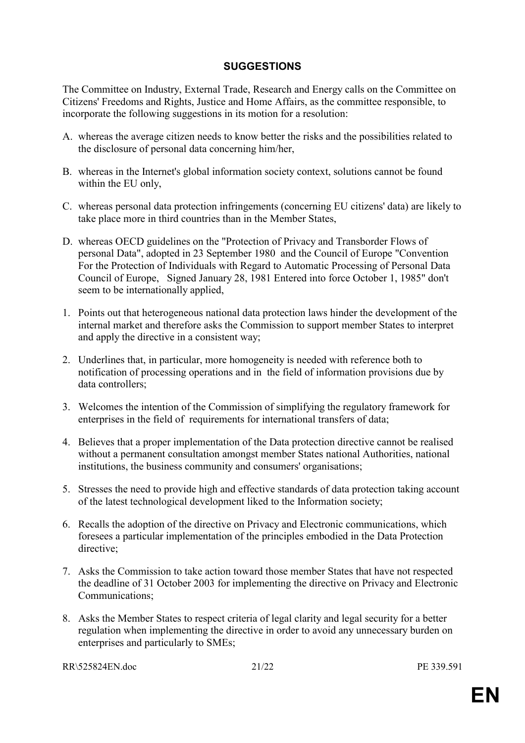# **SUGGESTIONS**

The Committee on Industry, External Trade, Research and Energy calls on the Committee on Citizens' Freedoms and Rights, Justice and Home Affairs, as the committee responsible, to incorporate the following suggestions in its motion for a resolution:

- A. whereas the average citizen needs to know better the risks and the possibilities related to the disclosure of personal data concerning him/her,
- B. whereas in the Internet's global information society context, solutions cannot be found within the EU only,
- C. whereas personal data protection infringements (concerning EU citizens' data) are likely to take place more in third countries than in the Member States,
- D. whereas OECD guidelines on the "Protection of Privacy and Transborder Flows of personal Data", adopted in 23 September 1980 and the Council of Europe "Convention For the Protection of Individuals with Regard to Automatic Processing of Personal Data Council of Europe, Signed January 28, 1981 Entered into force October 1, 1985" don't seem to be internationally applied,
- 1. Points out that heterogeneous national data protection laws hinder the development of the internal market and therefore asks the Commission to support member States to interpret and apply the directive in a consistent way;
- 2. Underlines that, in particular, more homogeneity is needed with reference both to notification of processing operations and in the field of information provisions due by data controllers;
- 3. Welcomes the intention of the Commission of simplifying the regulatory framework for enterprises in the field of requirements for international transfers of data;
- 4. Believes that a proper implementation of the Data protection directive cannot be realised without a permanent consultation amongst member States national Authorities, national institutions, the business community and consumers' organisations;
- 5. Stresses the need to provide high and effective standards of data protection taking account of the latest technological development liked to the Information society;
- 6. Recalls the adoption of the directive on Privacy and Electronic communications, which foresees a particular implementation of the principles embodied in the Data Protection directive;
- 7. Asks the Commission to take action toward those member States that have not respected the deadline of 31 October 2003 for implementing the directive on Privacy and Electronic Communications;
- 8. Asks the Member States to respect criteria of legal clarity and legal security for a better regulation when implementing the directive in order to avoid any unnecessary burden on enterprises and particularly to SMEs;

RR\525824EN.doc 21/22 PE 339.591